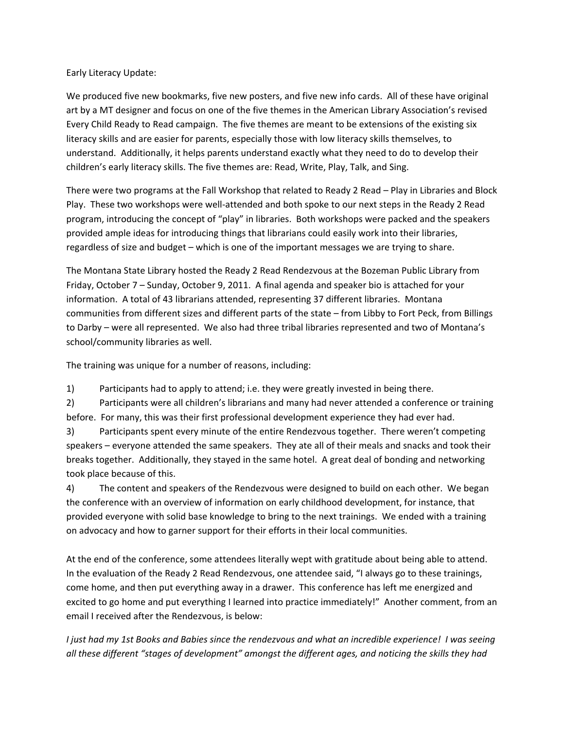Early Literacy Update:

We produced five new bookmarks, five new posters, and five new info cards. All of these have original art by a MT designer and focus on one of the five themes in the American Library Association's revised Every Child Ready to Read campaign. The five themes are meant to be extensions of the existing six literacy skills and are easier for parents, especially those with low literacy skills themselves, to understand. Additionally, it helps parents understand exactly what they need to do to develop their children's early literacy skills. The five themes are: Read, Write, Play, Talk, and Sing.

There were two programs at the Fall Workshop that related to Ready 2 Read – Play in Libraries and Block Play. These two workshops were well‐attended and both spoke to our next steps in the Ready 2 Read program, introducing the concept of "play" in libraries. Both workshops were packed and the speakers provided ample ideas for introducing things that librarians could easily work into their libraries, regardless of size and budget – which is one of the important messages we are trying to share.

The Montana State Library hosted the Ready 2 Read Rendezvous at the Bozeman Public Library from Friday, October 7 – Sunday, October 9, 2011. A final agenda and speaker bio is attached for your information. A total of 43 librarians attended, representing 37 different libraries. Montana communities from different sizes and different parts of the state – from Libby to Fort Peck, from Billings to Darby – were all represented. We also had three tribal libraries represented and two of Montana's school/community libraries as well.

The training was unique for a number of reasons, including:

1) Participants had to apply to attend; i.e. they were greatly invested in being there.

2) Participants were all children's librarians and many had never attended a conference or training before. For many, this was their first professional development experience they had ever had.

3) Participants spent every minute of the entire Rendezvous together. There weren't competing speakers – everyone attended the same speakers. They ate all of their meals and snacks and took their breaks together. Additionally, they stayed in the same hotel. A great deal of bonding and networking took place because of this.

4) The content and speakers of the Rendezvous were designed to build on each other. We began the conference with an overview of information on early childhood development, for instance, that provided everyone with solid base knowledge to bring to the next trainings. We ended with a training on advocacy and how to garner support for their efforts in their local communities.

At the end of the conference, some attendees literally wept with gratitude about being able to attend. In the evaluation of the Ready 2 Read Rendezvous, one attendee said, "I always go to these trainings, come home, and then put everything away in a drawer. This conference has left me energized and excited to go home and put everything I learned into practice immediately!" Another comment, from an email I received after the Rendezvous, is below:

I just had my 1st Books and Babies since the rendezvous and what an incredible experience! I was seeing *all these different "stages of development" amongst the different ages, and noticing the skills they had*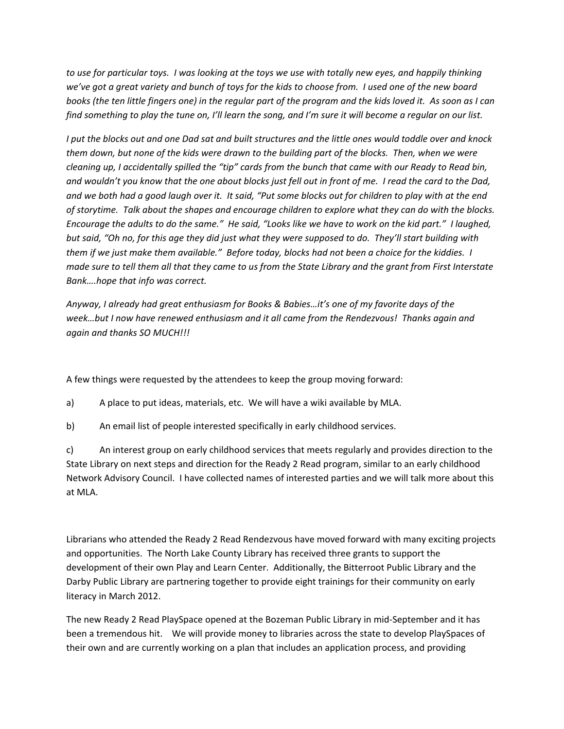to use for particular toys. I was looking at the toys we use with totally new eyes, and happily thinking we've got a great variety and bunch of toys for the kids to choose from. I used one of the new board books (the ten little fingers one) in the regular part of the program and the kids loved it. As soon as I can find something to play the tune on, I'll learn the song, and I'm sure it will become a regular on our list.

I put the blocks out and one Dad sat and built structures and the little ones would toddle over and knock them down, but none of the kids were drawn to the building part of the blocks. Then, when we were cleaning up, I accidentally spilled the "tip" cards from the bunch that came with our Ready to Read bin, and wouldn't you know that the one about blocks just fell out in front of me. I read the card to the Dad, and we both had a good laugh over it. It said, "Put some blocks out for children to play with at the end of storytime. Talk about the shapes and encourage children to explore what they can do with the blocks. Encourage the adults to do the same." He said, "Looks like we have to work on the kid part." I laughed, but said, "Oh no, for this age they did just what they were supposed to do. They'll start building with them if we just make them available." Before today, blocks had not been a choice for the kiddies. I made sure to tell them all that they came to us from the State Library and the grant from First Interstate *Bank….hope that info was correct.*

*Anyway, I already had great enthusiasm for Books & Babies…it's one of my favorite days of the week…but I now have renewed enthusiasm and it all came from the Rendezvous! Thanks again and again and thanks SO MUCH!!!* 

A few things were requested by the attendees to keep the group moving forward:

a) A place to put ideas, materials, etc. We will have a wiki available by MLA.

b) An email list of people interested specifically in early childhood services.

c) An interest group on early childhood services that meets regularly and provides direction to the State Library on next steps and direction for the Ready 2 Read program, similar to an early childhood Network Advisory Council. I have collected names of interested parties and we will talk more about this at MLA.

Librarians who attended the Ready 2 Read Rendezvous have moved forward with many exciting projects and opportunities. The North Lake County Library has received three grants to support the development of their own Play and Learn Center. Additionally, the Bitterroot Public Library and the Darby Public Library are partnering together to provide eight trainings for their community on early literacy in March 2012.

The new Ready 2 Read PlaySpace opened at the Bozeman Public Library in mid‐September and it has been a tremendous hit. We will provide money to libraries across the state to develop PlaySpaces of their own and are currently working on a plan that includes an application process, and providing